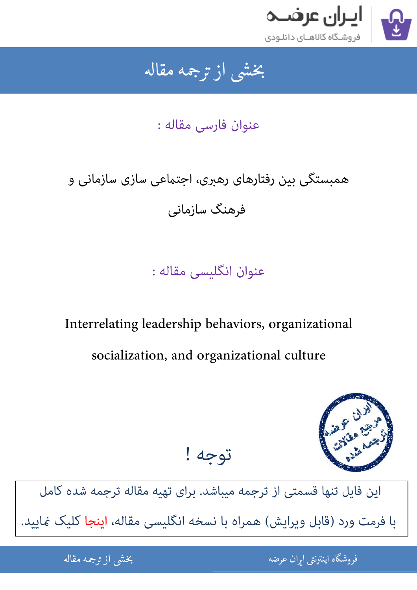

### بخشى از ترجمه مقاله شی از تر بخشی از :

عنوان فارسی مقاله :

# همبستگی بین رفتارهای رهبری، اجتعی سازی سازمانی و فرهنگ سازمانی

## عنوان انگلیسی مقاله :

Interrelating leadership behaviors, organizational socialization, and organizational culture



[این فایل تنها قسمتی از ترجمه میباشد. برای تهیه مقاله ترجمه شده کامل](http://iranarze.ir/interrelating+leadership+organizational+socialization+culture)  با فرمت ورد (قابل ویرایش) همراه با نسخه انگلیسی مقاله، اینجا کلیک *غ*ایید.

توجه !

.<br>هو اينترنتي ايران عرضه استان المستاد المستاد المستاد المستاد المستاد المستاد المستاد المستاد المستاد المستاد ا ֦֧֧֚֚֚֚֚֚֚֚֚֚֚֚֚֚֚֚֚֚֚֚֚֚֚֬֡֡֡֡֡֡֡֡֡֬֝֓֡֡֬ فروشگاه اینترنتی ایر

ان عرضه مقاله از ترجمه مقاله استخدام استخدام العامل العامل العامل العامل العامل العامل العامل العامل العامل ال